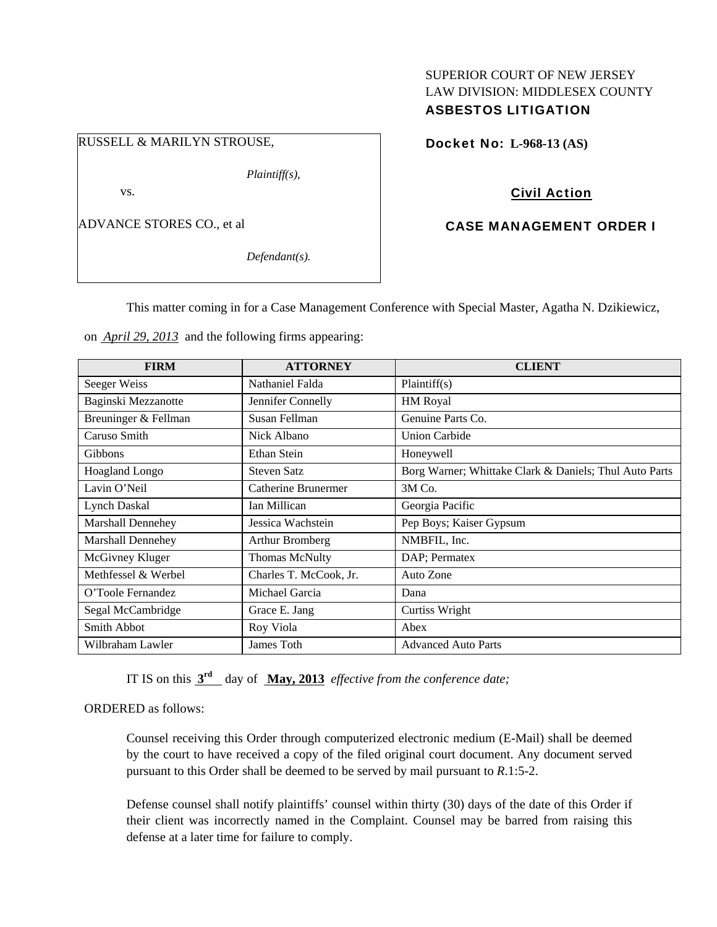# SUPERIOR COURT OF NEW JERSEY LAW DIVISION: MIDDLESEX COUNTY ASBESTOS LITIGATION

### RUSSELL & MARILYN STROUSE,

*Plaintiff(s),* 

vs.

ADVANCE STORES CO., et al

*Defendant(s).* 

Docket No: **L-968-13 (AS)** 

## Civil Action

### CASE MANAGEMENT ORDER I

This matter coming in for a Case Management Conference with Special Master, Agatha N. Dzikiewicz,

on *April 29, 2013* and the following firms appearing:

| <b>FIRM</b>              | <b>ATTORNEY</b>        | <b>CLIENT</b>                                          |
|--------------------------|------------------------|--------------------------------------------------------|
| Seeger Weiss             | Nathaniel Falda        | Plaintiff(s)                                           |
| Baginski Mezzanotte      | Jennifer Connelly      | HM Royal                                               |
| Breuninger & Fellman     | Susan Fellman          | Genuine Parts Co.                                      |
| Caruso Smith             | Nick Albano            | <b>Union Carbide</b>                                   |
| Gibbons                  | Ethan Stein            | Honeywell                                              |
| <b>Hoagland Longo</b>    | Steven Satz            | Borg Warner; Whittake Clark & Daniels; Thul Auto Parts |
| Lavin O'Neil             | Catherine Brunermer    | 3M Co.                                                 |
| <b>Lynch Daskal</b>      | Ian Millican           | Georgia Pacific                                        |
| <b>Marshall Dennehey</b> | Jessica Wachstein      | Pep Boys; Kaiser Gypsum                                |
| <b>Marshall Dennehey</b> | Arthur Bromberg        | NMBFIL, Inc.                                           |
| McGivney Kluger          | Thomas McNulty         | DAP; Permatex                                          |
| Methfessel & Werbel      | Charles T. McCook, Jr. | Auto Zone                                              |
| O'Toole Fernandez        | Michael Garcia         | Dana                                                   |
| Segal McCambridge        | Grace E. Jang          | Curtiss Wright                                         |
| <b>Smith Abbot</b>       | Roy Viola              | Abex                                                   |
| Wilbraham Lawler         | James Toth             | <b>Advanced Auto Parts</b>                             |

IT IS on this **3rd** day of **May, 2013** *effective from the conference date;*

### ORDERED as follows:

Counsel receiving this Order through computerized electronic medium (E-Mail) shall be deemed by the court to have received a copy of the filed original court document. Any document served pursuant to this Order shall be deemed to be served by mail pursuant to *R*.1:5-2.

Defense counsel shall notify plaintiffs' counsel within thirty (30) days of the date of this Order if their client was incorrectly named in the Complaint. Counsel may be barred from raising this defense at a later time for failure to comply.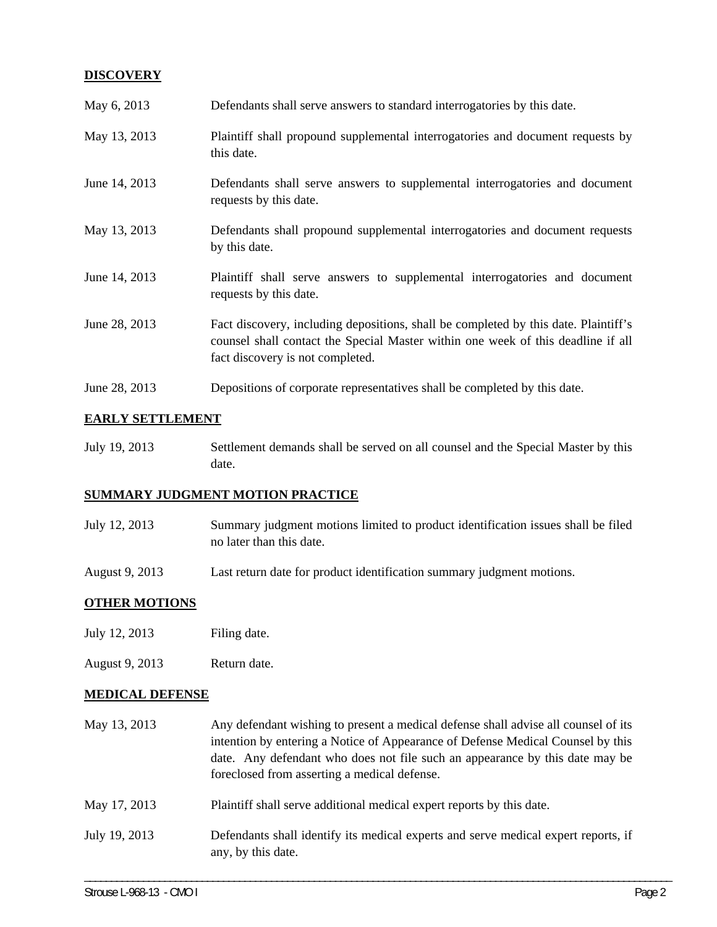### **DISCOVERY**

| May 6, 2013   | Defendants shall serve answers to standard interrogatories by this date.                                                                                                                                    |
|---------------|-------------------------------------------------------------------------------------------------------------------------------------------------------------------------------------------------------------|
| May 13, 2013  | Plaintiff shall propound supplemental interrogatories and document requests by<br>this date.                                                                                                                |
| June 14, 2013 | Defendants shall serve answers to supplemental interrogatories and document<br>requests by this date.                                                                                                       |
| May 13, 2013  | Defendants shall propound supplemental interrogatories and document requests<br>by this date.                                                                                                               |
| June 14, 2013 | Plaintiff shall serve answers to supplemental interrogatories and document<br>requests by this date.                                                                                                        |
| June 28, 2013 | Fact discovery, including depositions, shall be completed by this date. Plaintiff's<br>counsel shall contact the Special Master within one week of this deadline if all<br>fact discovery is not completed. |
| June 28, 2013 | Depositions of corporate representatives shall be completed by this date.                                                                                                                                   |

## **EARLY SETTLEMENT**

July 19, 2013 Settlement demands shall be served on all counsel and the Special Master by this date.

## **SUMMARY JUDGMENT MOTION PRACTICE**

| July 12, 2013 | Summary judgment motions limited to product identification issues shall be filed |
|---------------|----------------------------------------------------------------------------------|
|               | no later than this date.                                                         |

August 9, 2013 Last return date for product identification summary judgment motions.

## **OTHER MOTIONS**

- July 12, 2013 Filing date.
- August 9, 2013 Return date.

## **MEDICAL DEFENSE**

| May 13, 2013  | Any defendant wishing to present a medical defense shall advise all counsel of its<br>intention by entering a Notice of Appearance of Defense Medical Counsel by this<br>date. Any defendant who does not file such an appearance by this date may be<br>foreclosed from asserting a medical defense. |
|---------------|-------------------------------------------------------------------------------------------------------------------------------------------------------------------------------------------------------------------------------------------------------------------------------------------------------|
| May 17, 2013  | Plaintiff shall serve additional medical expert reports by this date.                                                                                                                                                                                                                                 |
| July 19, 2013 | Defendants shall identify its medical experts and serve medical expert reports, if<br>any, by this date.                                                                                                                                                                                              |

\_\_\_\_\_\_\_\_\_\_\_\_\_\_\_\_\_\_\_\_\_\_\_\_\_\_\_\_\_\_\_\_\_\_\_\_\_\_\_\_\_\_\_\_\_\_\_\_\_\_\_\_\_\_\_\_\_\_\_\_\_\_\_\_\_\_\_\_\_\_\_\_\_\_\_\_\_\_\_\_\_\_\_\_\_\_\_\_\_\_\_\_\_\_\_\_\_\_\_\_\_\_\_\_\_\_\_\_\_\_